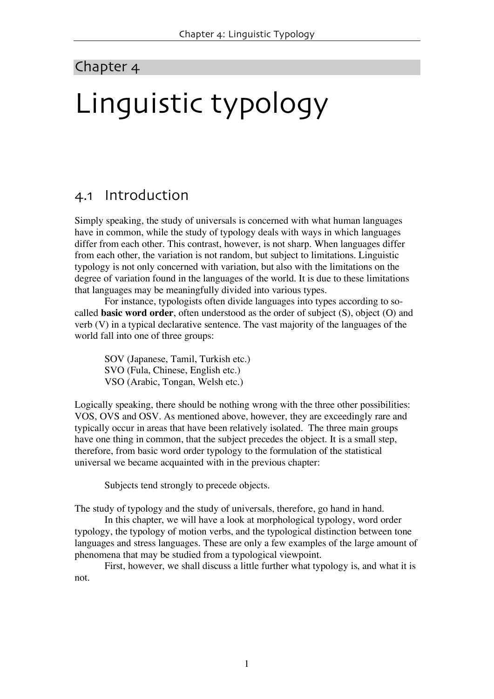## Chapter 4

# Linguistic typology

## 4.1 Introduction

Simply speaking, the study of universals is concerned with what human languages have in common, while the study of typology deals with ways in which languages differ from each other. This contrast, however, is not sharp. When languages differ from each other, the variation is not random, but subject to limitations. Linguistic typology is not only concerned with variation, but also with the limitations on the degree of variation found in the languages of the world. It is due to these limitations that languages may be meaningfully divided into various types.

For instance, typologists often divide languages into types according to socalled **basic word order**, often understood as the order of subject (S), object (O) and verb (V) in a typical declarative sentence. The vast majority of the languages of the world fall into one of three groups:

SOV (Japanese, Tamil, Turkish etc.) SVO (Fula, Chinese, English etc.) VSO (Arabic, Tongan, Welsh etc.)

Logically speaking, there should be nothing wrong with the three other possibilities: VOS, OVS and OSV. As mentioned above, however, they are exceedingly rare and typically occur in areas that have been relatively isolated. The three main groups have one thing in common, that the subject precedes the object. It is a small step, therefore, from basic word order typology to the formulation of the statistical universal we became acquainted with in the previous chapter:

Subjects tend strongly to precede objects.

The study of typology and the study of universals, therefore, go hand in hand.

In this chapter, we will have a look at morphological typology, word order typology, the typology of motion verbs, and the typological distinction between tone languages and stress languages. These are only a few examples of the large amount of phenomena that may be studied from a typological viewpoint.

First, however, we shall discuss a little further what typology is, and what it is not.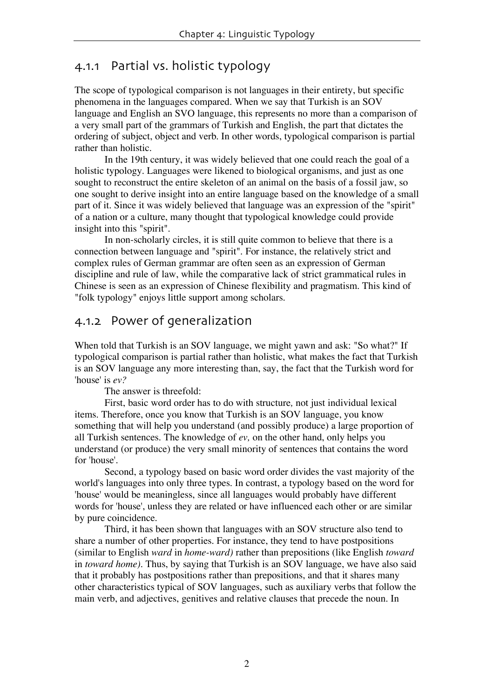## 4.1.1 Partial vs. holistic typology

The scope of typological comparison is not languages in their entirety, but specific phenomena in the languages compared. When we say that Turkish is an SOV language and English an SVO language, this represents no more than a comparison of a very small part of the grammars of Turkish and English, the part that dictates the ordering of subject, object and verb. In other words, typological comparison is partial rather than holistic.

In the 19th century, it was widely believed that one could reach the goal of a holistic typology. Languages were likened to biological organisms, and just as one sought to reconstruct the entire skeleton of an animal on the basis of a fossil jaw, so one sought to derive insight into an entire language based on the knowledge of a small part of it. Since it was widely believed that language was an expression of the "spirit" of a nation or a culture, many thought that typological knowledge could provide insight into this "spirit".

In non-scholarly circles, it is still quite common to believe that there is a connection between language and "spirit". For instance, the relatively strict and complex rules of German grammar are often seen as an expression of German discipline and rule of law, while the comparative lack of strict grammatical rules in Chinese is seen as an expression of Chinese flexibility and pragmatism. This kind of "folk typology" enjoys little support among scholars.

## 4.1.2 Power of generalization

When told that Turkish is an SOV language, we might yawn and ask: "So what?" If typological comparison is partial rather than holistic, what makes the fact that Turkish is an SOV language any more interesting than, say, the fact that the Turkish word for 'house' is *ev?*

The answer is threefold:

First, basic word order has to do with structure*,* not just individual lexical items. Therefore, once you know that Turkish is an SOV language, you know something that will help you understand (and possibly produce) a large proportion of all Turkish sentences. The knowledge of *ev,* on the other hand, only helps you understand (or produce) the very small minority of sentences that contains the word for 'house'.

Second, a typology based on basic word order divides the vast majority of the world's languages into only three types. In contrast, a typology based on the word for 'house' would be meaningless, since all languages would probably have different words for 'house', unless they are related or have influenced each other or are similar by pure coincidence.

Third, it has been shown that languages with an SOV structure also tend to share a number of other properties. For instance, they tend to have postpositions (similar to English *ward* in *home-ward)* rather than prepositions (like English *toward* in *toward home).* Thus, by saying that Turkish is an SOV language, we have also said that it probably has postpositions rather than prepositions, and that it shares many other characteristics typical of SOV languages, such as auxiliary verbs that follow the main verb, and adjectives, genitives and relative clauses that precede the noun. In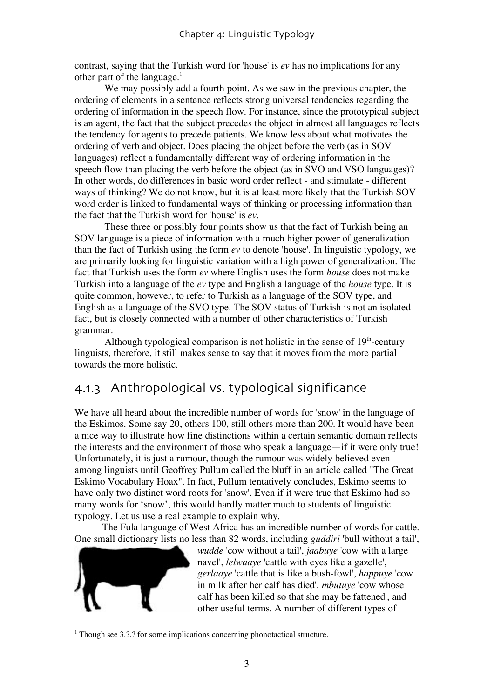contrast, saying that the Turkish word for 'house' is *ev* has no implications for any other part of the language. 1

We may possibly add a fourth point. As we saw in the previous chapter, the ordering of elements in a sentence reflects strong universal tendencies regarding the ordering of information in the speech flow. For instance, since the prototypical subject is an agent, the fact that the subject precedes the object in almost all languages reflects the tendency for agents to precede patients. We know less about what motivates the ordering of verb and object. Does placing the object before the verb (as in SOV languages) reflect a fundamentally different way of ordering information in the speech flow than placing the verb before the object (as in SVO and VSO languages)? In other words, do differences in basic word order reflect - and stimulate - different ways of thinking? We do not know, but it is at least more likely that the Turkish SOV word order is linked to fundamental ways of thinking or processing information than the fact that the Turkish word for 'house' is *ev.*

These three or possibly four points show us that the fact of Turkish being an SOV language is a piece of information with a much higher power of generalization than the fact of Turkish using the form *ev* to denote 'house'. In linguistic typology, we are primarily looking for linguistic variation with a high power of generalization. The fact that Turkish uses the form *ev* where English uses the form *house* does not make Turkish into a language of the *ev* type and English a language of the *house* type. It is quite common, however, to refer to Turkish as a language of the SOV type, and English as a language of the SVO type. The SOV status of Turkish is not an isolated fact, but is closely connected with a number of other characteristics of Turkish grammar.

Although typological comparison is not holistic in the sense of  $19<sup>th</sup>$ -century linguists, therefore, it still makes sense to say that it moves from the more partial towards the more holistic.

# 4.1.3 Anthropological vs. typological significance

We have all heard about the incredible number of words for 'snow' in the language of the Eskimos. Some say 20, others 100, still others more than 200. It would have been a nice way to illustrate how fine distinctions within a certain semantic domain reflects the interests and the environment of those who speak a language—if it were only true! Unfortunately, it is just a rumour, though the rumour was widely believed even among linguists until Geoffrey Pullum called the bluff in an article called "The Great Eskimo Vocabulary Hoax". In fact, Pullum tentatively concludes, Eskimo seems to have only two distinct word roots for 'snow'. Even if it were true that Eskimo had so many words for 'snow', this would hardly matter much to students of linguistic typology. Let us use a real example to explain why.

The Fula language of West Africa has an incredible number of words for cattle. One small dictionary lists no less than 82 words, including *guddiri* 'bull without a tail',



*wudde* 'cow without a tail', *jaabuye* 'cow with a large navel', *lelwaaye* 'cattle with eyes like a gazelle', *gerlaaye* 'cattle that is like a bush-fowl', *happuye* 'cow in milk after her calf has died', *mbutuye* 'cow whose calf has been killed so that she may be fattened', and other useful terms. A number of different types of

 $1$  Though see 3.2.2 for some implications concerning phonotactical structure.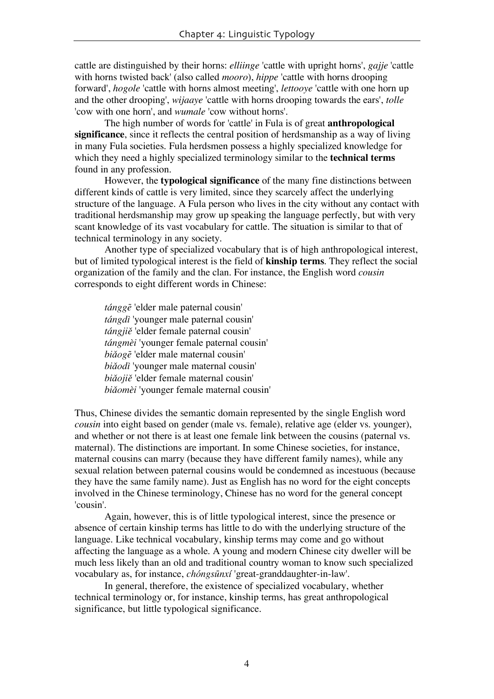cattle are distinguished by their horns: *elliinge* 'cattle with upright horns', *gajje* 'cattle with horns twisted back' (also called *mooro*), *hippe* 'cattle with horns drooping forward', *hogole* 'cattle with horns almost meeting', *lettooye* 'cattle with one horn up and the other drooping', *wijaaye* 'cattle with horns drooping towards the ears', *tolle* 'cow with one horn', and *wumale* 'cow without horns'.

The high number of words for 'cattle' in Fula is of great **anthropological significance**, since it reflects the central position of herdsmanship as a way of living in many Fula societies. Fula herdsmen possess a highly specialized knowledge for which they need a highly specialized terminology similar to the **technical terms** found in any profession.

However, the **typological significance** of the many fine distinctions between different kinds of cattle is very limited, since they scarcely affect the underlying structure of the language. A Fula person who lives in the city without any contact with traditional herdsmanship may grow up speaking the language perfectly, but with very scant knowledge of its vast vocabulary for cattle. The situation is similar to that of technical terminology in any society.

Another type of specialized vocabulary that is of high anthropological interest, but of limited typological interest is the field of **kinship terms**. They reflect the social organization of the family and the clan. For instance, the English word *cousin* corresponds to eight different words in Chinese:

*tángge* 'elder male paternal cousin' *tángdì* 'younger male paternal cousin' *tángjiě* 'elder female paternal cousin' tángmèi 'younger female paternal cousin' *biǎogē* 'elder male maternal cousin' *bia3odì* 'younger male maternal cousin' *biǎojiě* 'elder female maternal cousin' *biǎomèi* 'younger female maternal cousin'

Thus, Chinese divides the semantic domain represented by the single English word *cousin* into eight based on gender (male vs. female), relative age (elder vs. younger), and whether or not there is at least one female link between the cousins (paternal vs. maternal). The distinctions are important. In some Chinese societies, for instance, maternal cousins can marry (because they have different family names), while any sexual relation between paternal cousins would be condemned as incestuous (because they have the same family name). Just as English has no word for the eight concepts involved in the Chinese terminology, Chinese has no word for the general concept 'cousin'.

Again, however, this is of little typological interest, since the presence or absence of certain kinship terms has little to do with the underlying structure of the language. Like technical vocabulary, kinship terms may come and go without affecting the language as a whole. A young and modern Chinese city dweller will be much less likely than an old and traditional country woman to know such specialized vocabulary as, for instance, *chóngsūnxí* 'great-granddaughter-in-law'.

In general, therefore, the existence of specialized vocabulary, whether technical terminology or, for instance, kinship terms, has great anthropological significance, but little typological significance.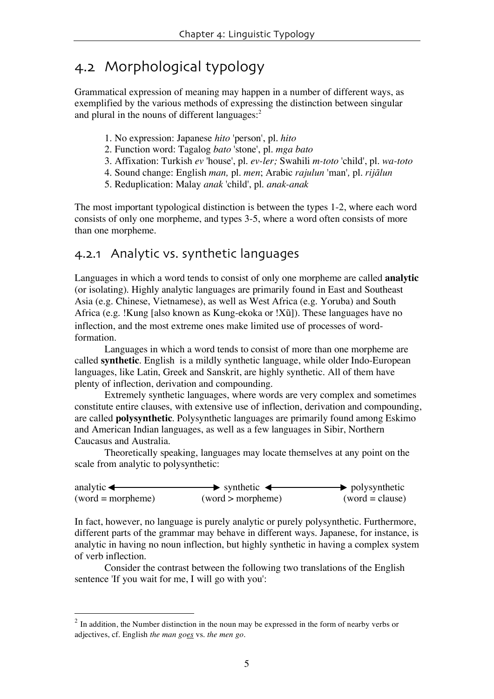# 4.2 Morphological typology

Grammatical expression of meaning may happen in a number of different ways, as exemplified by the various methods of expressing the distinction between singular and plural in the nouns of different languages: 2

- 1. No expression: Japanese *hito* 'person', pl. *hito*
- 2. Function word: Tagalog *bato* 'stone', pl. *mga bato*
- 3. Affixation: Turkish *ev* 'house', pl. *ev-ler;* Swahili *m-toto* 'child', pl. *wa-toto*
- 4. Sound change: English *man,* pl. *men*; Arabic *rajulun* 'man'*,* pl. *rija1lun*
- 5. Reduplication: Malay *anak* 'child', pl. *anak-anak*

The most important typological distinction is between the types 1-2, where each word consists of only one morpheme, and types 3-5, where a word often consists of more than one morpheme.

#### 4.2.1 Analytic vs. synthetic languages

Languages in which a word tends to consist of only one morpheme are called **analytic** (or isolating). Highly analytic languages are primarily found in East and Southeast Asia (e.g. Chinese, Vietnamese), as well as West Africa (e.g. Yoruba) and South Africa (e.g. !Kung [also known as Kung-ekoka or !X $\tilde{u}$ ]). These languages have no inflection, and the most extreme ones make limited use of processes of wordformation.

Languages in which a word tends to consist of more than one morpheme are called **synthetic**. English is a mildly synthetic language, while older Indo-European languages, like Latin, Greek and Sanskrit, are highly synthetic. All of them have plenty of inflection, derivation and compounding.

Extremely synthetic languages, where words are very complex and sometimes constitute entire clauses, with extensive use of inflection, derivation and compounding, are called **polysynthetic**. Polysynthetic languages are primarily found among Eskimo and American Indian languages, as well as a few languages in Sibir, Northern Caucasus and Australia.

Theoretically speaking, languages may locate themselves at any point on the scale from analytic to polysynthetic:

| analytic $\leftarrow$ | $\rightarrow$ synthetic $\leftarrow$ | $\rightarrow$ polysynthetic |
|-----------------------|--------------------------------------|-----------------------------|
| $(word = morpheme)$   | (word > morpheme)                    | $(word = clause)$           |

In fact, however, no language is purely analytic or purely polysynthetic. Furthermore, different parts of the grammar may behave in different ways. Japanese, for instance, is analytic in having no noun inflection, but highly synthetic in having a complex system of verb inflection.

Consider the contrast between the following two translations of the English sentence 'If you wait for me, I will go with you':

 $2 \text{ In addition, the Number distinction in the noun may be expressed in the form of nearby verbs or }$ adjectives, cf. English *the man goes* vs. *the men go*.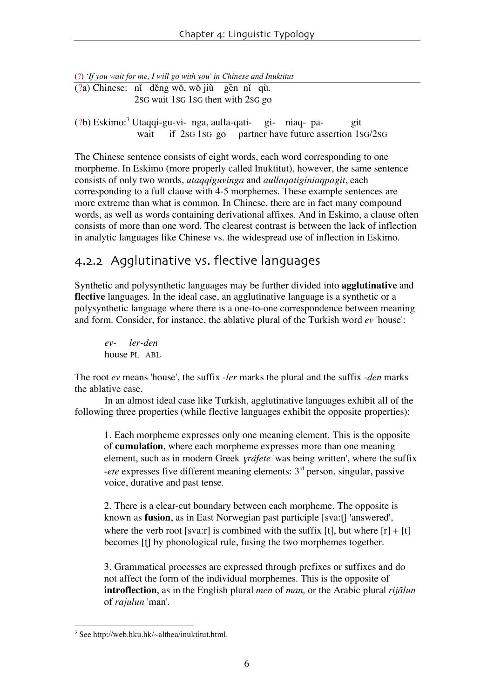(?) *'If you wait for me, I will go with you' in Chinese and Inuktitut*

 $($ ?a) Chinese: nǐ děng wǒ, wǒ jiù gen nǐ qù. 2SG wait 1SG 1SG then with 2SG go

(?b) Eskimo:<sup>3</sup> Utaqqi-gu-vi- nga, aulla-qati- gi- niaq- pa- git wait if 2sG 1sG go partner have future assertion 1sG/2sG

The Chinese sentence consists of eight words, each word corresponding to one morpheme. In Eskimo (more properly called Inuktitut), however, the same sentence consists of only two words, *utaqqiguvinga* and *aullaqatiginiaqpagit*, each corresponding to a full clause with 4-5 morphemes. These example sentences are more extreme than what is common. In Chinese, there are in fact many compound words, as well as words containing derivational affixes. And in Eskimo, a clause often consists of more than one word. The clearest contrast is between the lack of inflection in analytic languages like Chinese vs. the widespread use of inflection in Eskimo.

### 4.2.2 Agglutinative vs. flective languages

Synthetic and polysynthetic languages may be further divided into **agglutinative** and **flective** languages. In the ideal case, an agglutinative language is a synthetic or a polysynthetic language where there is a one-to-one correspondence between meaning and form. Consider, for instance, the ablative plural of the Turkish word *ev* 'house':

*ev- ler-den* house PL ABL

The root *ev* means 'house', the suffix *-ler* marks the plural and the suffix *-den* marks the ablative case.

In an almost ideal case like Turkish, agglutinative languages exhibit all of the following three properties (while flective languages exhibit the opposite properties):

1. Each morpheme expresses only one meaning element. This is the opposite of **cumulation**, where each morpheme expresses more than one meaning element, such as in modern Greek *yráfete* 'was being written', where the suffix -*ete* expresses five different meaning elements: 3rd person, singular, passive voice, durative and past tense.

2. There is a clear-cut boundary between each morpheme. The opposite is known as **fusion**, as in East Norwegian past participle [sva:t] 'answered', where the verb root [sva:r] is combined with the suffix [t], but where  $[r] + [t]$ becomes [t] by phonological rule, fusing the two morphemes together.

3. Grammatical processes are expressed through prefixes or suffixes and do not affect the form of the individual morphemes. This is the opposite of **introflection**, as in the English plural *men* of *man,* or the Arabic plural *rija1lun* of *rajulun* 'man'.

 <sup>3</sup> See http://web.hku.hk/~althea/inuktitut.html.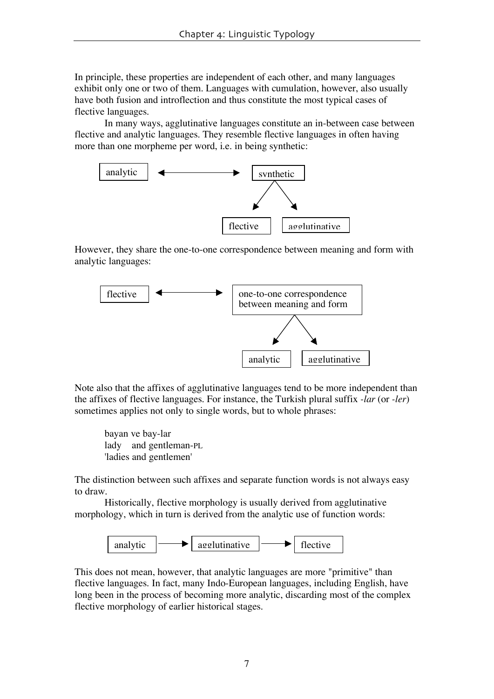In principle, these properties are independent of each other, and many languages exhibit only one or two of them. Languages with cumulation, however, also usually have both fusion and introflection and thus constitute the most typical cases of flective languages.

In many ways, agglutinative languages constitute an in-between case between flective and analytic languages. They resemble flective languages in often having more than one morpheme per word, i.e. in being synthetic:



However, they share the one-to-one correspondence between meaning and form with analytic languages:



Note also that the affixes of agglutinative languages tend to be more independent than the affixes of flective languages. For instance, the Turkish plural suffix *-lar* (or *-ler*) sometimes applies not only to single words, but to whole phrases:

bayan ve bay-lar lady and gentleman-PL 'ladies and gentlemen'

The distinction between such affixes and separate function words is not always easy to draw.

Historically, flective morphology is usually derived from agglutinative morphology, which in turn is derived from the analytic use of function words:



This does not mean, however, that analytic languages are more "primitive" than flective languages. In fact, many Indo-European languages, including English, have long been in the process of becoming more analytic, discarding most of the complex flective morphology of earlier historical stages.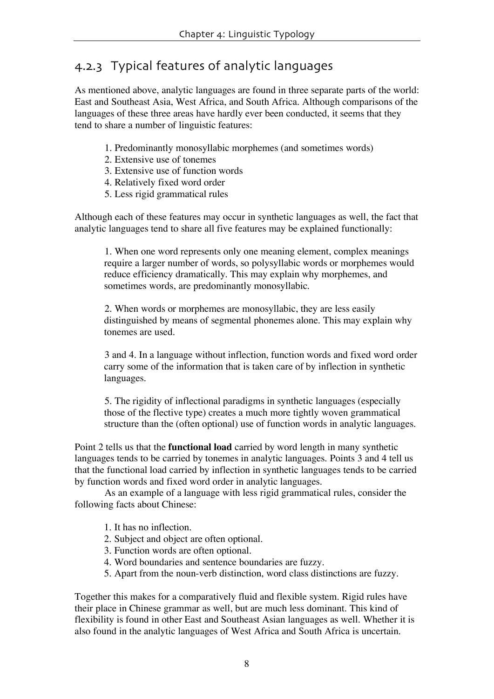# 4.2.3 Typical features of analytic languages

As mentioned above, analytic languages are found in three separate parts of the world: East and Southeast Asia, West Africa, and South Africa. Although comparisons of the languages of these three areas have hardly ever been conducted, it seems that they tend to share a number of linguistic features:

- 1. Predominantly monosyllabic morphemes (and sometimes words)
- 2. Extensive use of tonemes
- 3. Extensive use of function words
- 4. Relatively fixed word order
- 5. Less rigid grammatical rules

Although each of these features may occur in synthetic languages as well, the fact that analytic languages tend to share all five features may be explained functionally:

1. When one word represents only one meaning element, complex meanings require a larger number of words, so polysyllabic words or morphemes would reduce efficiency dramatically. This may explain why morphemes, and sometimes words, are predominantly monosyllabic.

2. When words or morphemes are monosyllabic, they are less easily distinguished by means of segmental phonemes alone. This may explain why tonemes are used.

3 and 4. In a language without inflection, function words and fixed word order carry some of the information that is taken care of by inflection in synthetic languages.

5. The rigidity of inflectional paradigms in synthetic languages (especially those of the flective type) creates a much more tightly woven grammatical structure than the (often optional) use of function words in analytic languages.

Point 2 tells us that the **functional load** carried by word length in many synthetic languages tends to be carried by tonemes in analytic languages. Points 3 and 4 tell us that the functional load carried by inflection in synthetic languages tends to be carried by function words and fixed word order in analytic languages.

As an example of a language with less rigid grammatical rules, consider the following facts about Chinese:

- 1. It has no inflection.
- 2. Subject and object are often optional.
- 3. Function words are often optional.
- 4. Word boundaries and sentence boundaries are fuzzy.
- 5. Apart from the noun-verb distinction, word class distinctions are fuzzy.

Together this makes for a comparatively fluid and flexible system. Rigid rules have their place in Chinese grammar as well, but are much less dominant. This kind of flexibility is found in other East and Southeast Asian languages as well. Whether it is also found in the analytic languages of West Africa and South Africa is uncertain.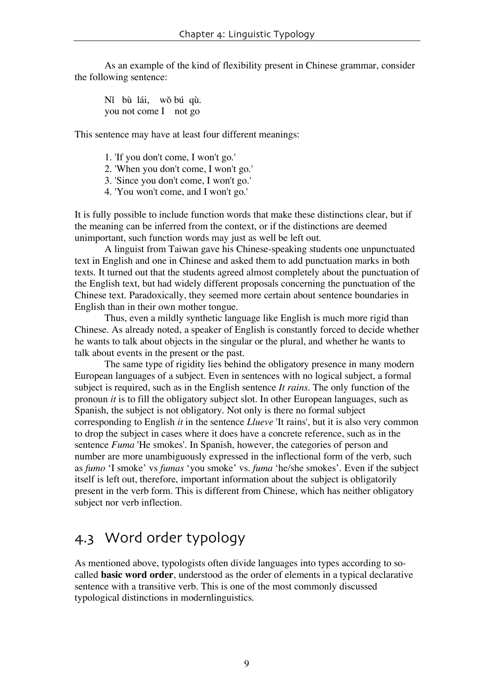As an example of the kind of flexibility present in Chinese grammar, consider the following sentence:

Nĩ bù lái, wǒ bú qù. you not come I not go

This sentence may have at least four different meanings:

- 1. 'If you don't come, I won't go.'
- 2. 'When you don't come, I won't go.'
- 3. 'Since you don't come, I won't go.'
- 4. 'You won't come, and I won't go.'

It is fully possible to include function words that make these distinctions clear, but if the meaning can be inferred from the context, or if the distinctions are deemed unimportant, such function words may just as well be left out.

A linguist from Taiwan gave his Chinese-speaking students one unpunctuated text in English and one in Chinese and asked them to add punctuation marks in both texts. It turned out that the students agreed almost completely about the punctuation of the English text, but had widely different proposals concerning the punctuation of the Chinese text. Paradoxically, they seemed more certain about sentence boundaries in English than in their own mother tongue.

Thus, even a mildly synthetic language like English is much more rigid than Chinese. As already noted, a speaker of English is constantly forced to decide whether he wants to talk about objects in the singular or the plural, and whether he wants to talk about events in the present or the past.

The same type of rigidity lies behind the obligatory presence in many modern European languages of a subject. Even in sentences with no logical subject, a formal subject is required, such as in the English sentence *It rains*. The only function of the pronoun *it* is to fill the obligatory subject slot. In other European languages, such as Spanish, the subject is not obligatory. Not only is there no formal subject corresponding to English *it* in the sentence *Llueve* 'It rains', but it is also very common to drop the subject in cases where it does have a concrete reference, such as in the sentence *Fuma* 'He smokes'. In Spanish, however, the categories of person and number are more unambiguously expressed in the inflectional form of the verb, such as *fumo* 'I smoke' vs *fumas* 'you smoke' vs. *fuma* 'he/she smokes'. Even if the subject itself is left out, therefore, important information about the subject is obligatorily present in the verb form. This is different from Chinese, which has neither obligatory subject nor verb inflection.

# 4.3 Word order typology

As mentioned above, typologists often divide languages into types according to socalled **basic word order**, understood as the order of elements in a typical declarative sentence with a transitive verb. This is one of the most commonly discussed typological distinctions in modernlinguistics.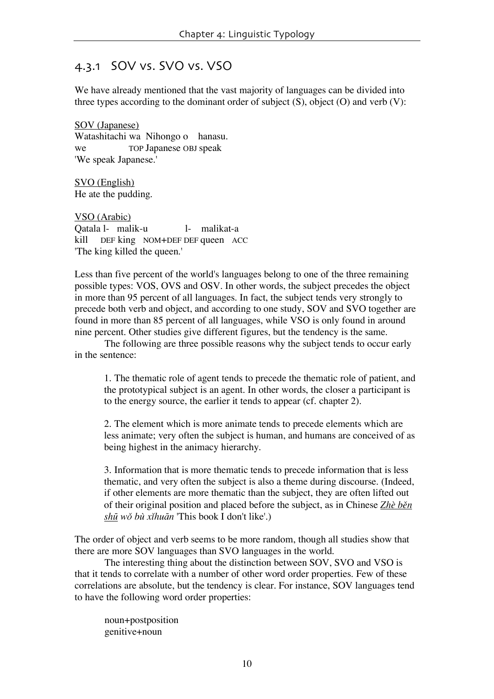#### 4.3.1 SOV vs. SVO vs. VSO

We have already mentioned that the vast majority of languages can be divided into three types according to the dominant order of subject  $(S)$ , object  $(O)$  and verb  $(V)$ :

SOV (Japanese) Watashitachi wa Nihongo o hanasu. we TOP Japanese OBJ speak 'We speak Japanese.'

SVO (English) He ate the pudding.

VSO (Arabic) Qatala l- malik-u l- malikat-a kill DEF king NOM+DEF DEF queen ACC 'The king killed the queen.'

Less than five percent of the world's languages belong to one of the three remaining possible types: VOS, OVS and OSV. In other words, the subject precedes the object in more than 95 percent of all languages. In fact, the subject tends very strongly to precede both verb and object, and according to one study, SOV and SVO together are found in more than 85 percent of all languages, while VSO is only found in around nine percent. Other studies give different figures, but the tendency is the same.

The following are three possible reasons why the subject tends to occur early in the sentence:

1. The thematic role of agent tends to precede the thematic role of patient, and the prototypical subject is an agent. In other words, the closer a participant is to the energy source, the earlier it tends to appear (cf. chapter 2).

2. The element which is more animate tends to precede elements which are less animate; very often the subject is human, and humans are conceived of as being highest in the animacy hierarchy.

3. Information that is more thematic tends to precede information that is less thematic, and very often the subject is also a theme during discourse. (Indeed, if other elements are more thematic than the subject, they are often lifted out of their original position and placed before the subject, as in Chinese Zhè ben shū wǒ bù xǐhuān 'This book I don't like'.)

The order of object and verb seems to be more random, though all studies show that there are more SOV languages than SVO languages in the world.

The interesting thing about the distinction between SOV, SVO and VSO is that it tends to correlate with a number of other word order properties. Few of these correlations are absolute, but the tendency is clear. For instance, SOV languages tend to have the following word order properties:

noun+postposition genitive+noun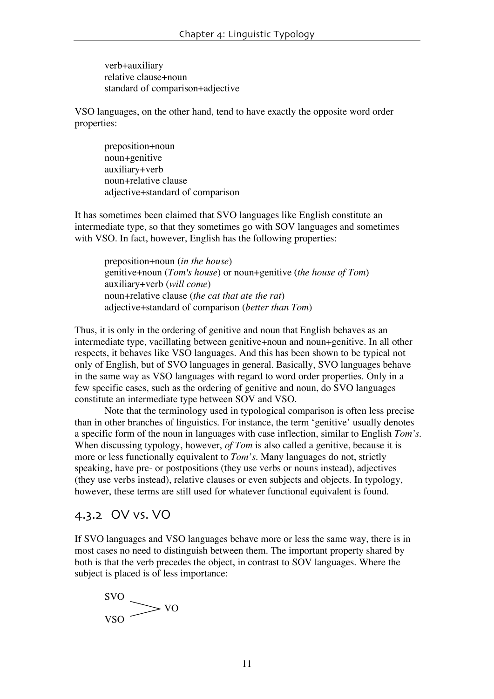verb+auxiliary relative clause+noun standard of comparison+adjective

VSO languages, on the other hand, tend to have exactly the opposite word order properties:

preposition+noun noun+genitive auxiliary+verb noun+relative clause adjective+standard of comparison

It has sometimes been claimed that SVO languages like English constitute an intermediate type, so that they sometimes go with SOV languages and sometimes with VSO. In fact, however, English has the following properties:

preposition+noun (*in the house*) genitive+noun (*Tom's house*) or noun+genitive (*the house of Tom*) auxiliary+verb (*will come*) noun+relative clause (*the cat that ate the rat*) adjective+standard of comparison (*better than Tom*)

Thus, it is only in the ordering of genitive and noun that English behaves as an intermediate type, vacillating between genitive+noun and noun+genitive. In all other respects, it behaves like VSO languages. And this has been shown to be typical not only of English, but of SVO languages in general. Basically, SVO languages behave in the same way as VSO languages with regard to word order properties. Only in a few specific cases, such as the ordering of genitive and noun, do SVO languages constitute an intermediate type between SOV and VSO.

Note that the terminology used in typological comparison is often less precise than in other branches of linguistics. For instance, the term 'genitive' usually denotes a specific form of the noun in languages with case inflection, similar to English *Tom's*. When discussing typology, however, *of Tom* is also called a genitive, because it is more or less functionally equivalent to *Tom's*. Many languages do not, strictly speaking, have pre- or postpositions (they use verbs or nouns instead), adjectives (they use verbs instead), relative clauses or even subjects and objects. In typology, however, these terms are still used for whatever functional equivalent is found.

#### 4.3.2 OV vs. VO

If SVO languages and VSO languages behave more or less the same way, there is in most cases no need to distinguish between them. The important property shared by both is that the verb precedes the object, in contrast to SOV languages. Where the subject is placed is of less importance:

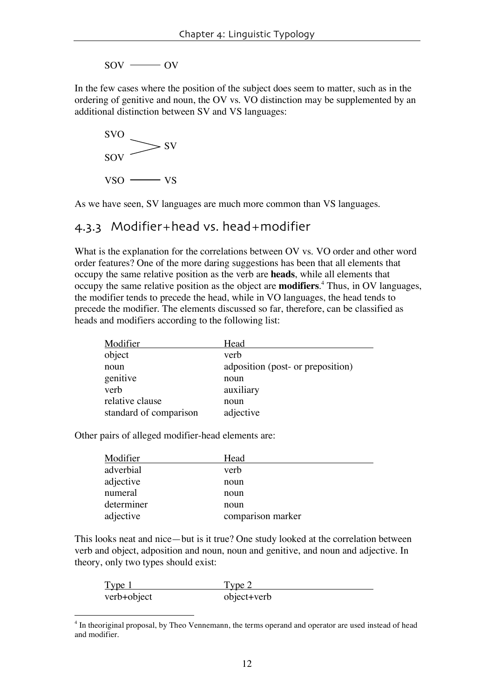$SOV \longrightarrow OV$ 

In the few cases where the position of the subject does seem to matter, such as in the ordering of genitive and noun, the OV vs. VO distinction may be supplemented by an additional distinction between SV and VS languages:



As we have seen, SV languages are much more common than VS languages.

#### 4.3.3 Modifier+head vs. head+modifier

What is the explanation for the correlations between OV vs. VO order and other word order features? One of the more daring suggestions has been that all elements that occupy the same relative position as the verb are **heads**, while all elements that occupy the same relative position as the object are **modifiers**. <sup>4</sup> Thus, in OV languages, the modifier tends to precede the head, while in VO languages, the head tends to precede the modifier. The elements discussed so far, therefore, can be classified as heads and modifiers according to the following list:

| Modifier               | Head                              |
|------------------------|-----------------------------------|
| object                 | verb                              |
| noun                   | adposition (post- or preposition) |
| genitive               | noun                              |
| verb                   | auxiliary                         |
| relative clause        | noun                              |
| standard of comparison | adjective                         |

Other pairs of alleged modifier-head elements are:

| Modifier   | Head              |
|------------|-------------------|
| adverbial  | verb              |
| adjective  | noun              |
| numeral    | noun              |
| determiner | noun              |
| adjective  | comparison marker |

This looks neat and nice—but is it true? One study looked at the correlation between verb and object, adposition and noun, noun and genitive, and noun and adjective. In theory, only two types should exist:

| Type <sub>1</sub> | l vpe 2     |
|-------------------|-------------|
| verb+object       | object+verb |

<sup>&</sup>lt;sup>4</sup> In theoriginal proposal, by Theo Vennemann, the terms operand and operator are used instead of head and modifier.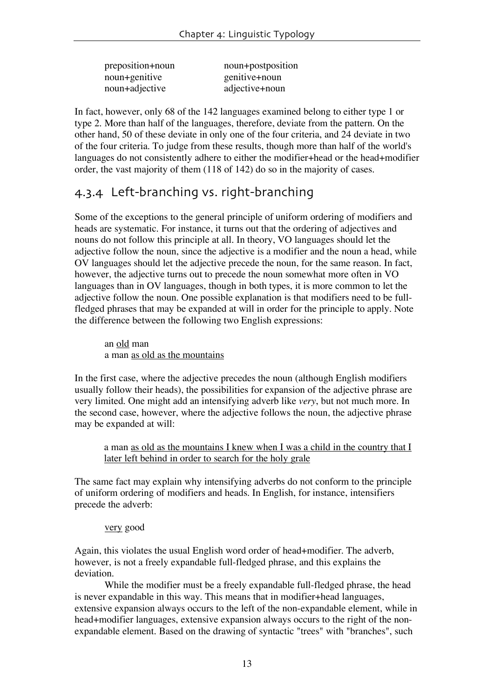| preposition+noun | noun+postposition |
|------------------|-------------------|
| noun+genitive    | genitive+noun     |
| noun+adjective   | adjective+noun    |

In fact, however, only 68 of the 142 languages examined belong to either type 1 or type 2. More than half of the languages, therefore, deviate from the pattern. On the other hand, 50 of these deviate in only one of the four criteria, and 24 deviate in two of the four criteria. To judge from these results, though more than half of the world's languages do not consistently adhere to either the modifier+head or the head+modifier order, the vast majority of them (118 of 142) do so in the majority of cases.

### 4.3.4 Left-branching vs. right-branching

Some of the exceptions to the general principle of uniform ordering of modifiers and heads are systematic. For instance, it turns out that the ordering of adjectives and nouns do not follow this principle at all. In theory, VO languages should let the adjective follow the noun, since the adjective is a modifier and the noun a head, while OV languages should let the adjective precede the noun, for the same reason. In fact, however, the adjective turns out to precede the noun somewhat more often in VO languages than in OV languages, though in both types, it is more common to let the adjective follow the noun. One possible explanation is that modifiers need to be fullfledged phrases that may be expanded at will in order for the principle to apply. Note the difference between the following two English expressions:

an old man a man as old as the mountains

In the first case, where the adjective precedes the noun (although English modifiers usually follow their heads), the possibilities for expansion of the adjective phrase are very limited. One might add an intensifying adverb like *very*, but not much more. In the second case, however, where the adjective follows the noun, the adjective phrase may be expanded at will:

a man as old as the mountains I knew when I was a child in the country that I later left behind in order to search for the holy grale

The same fact may explain why intensifying adverbs do not conform to the principle of uniform ordering of modifiers and heads. In English, for instance, intensifiers precede the adverb:

#### very good

Again, this violates the usual English word order of head+modifier. The adverb, however, is not a freely expandable full-fledged phrase, and this explains the deviation.

While the modifier must be a freely expandable full-fledged phrase, the head is never expandable in this way. This means that in modifier+head languages, extensive expansion always occurs to the left of the non-expandable element, while in head+modifier languages, extensive expansion always occurs to the right of the nonexpandable element. Based on the drawing of syntactic "trees" with "branches", such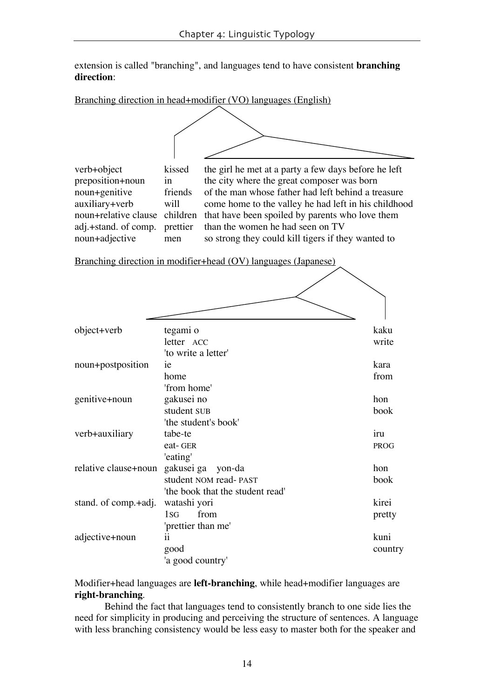extension is called "branching", and languages tend to have consistent **branching direction**:

#### Branching direction in head+modifier (VO) languages (English)



verb+object kissed the girl he met at a party a few days before he left preposition+noun in the city where the great composer was born in the city where the great composer was born noun+genitive friends of the man whose father had left behind a treasure auxiliary+verb will come home to the valley he had left in his childhood noun+relative clause children that have been spoiled by parents who love them adj.+stand. of comp. prettier than the women he had seen on TV prettier than the women he had seen on TV noun+adjective men so strong they could kill tigers if they wanted to

Branching direction in modifier+head (OV) languages (Japanese)

| object+verb          | tegami o                         | kaku        |
|----------------------|----------------------------------|-------------|
|                      | letter ACC                       | write       |
|                      | 'to write a letter'              |             |
| noun+postposition    | ie                               | kara        |
|                      | home                             | from        |
|                      | 'from home'                      |             |
| genitive+noun        | gakusei no                       | hon         |
|                      | student SUB                      | book        |
|                      | 'the student's book'             |             |
| verb+auxiliary       | tabe-te                          | iru         |
|                      | eat-GER                          | <b>PROG</b> |
|                      | 'eating'                         |             |
| relative clause+noun | gakusei ga<br>yon-da             | hon         |
|                      | student NOM read-PAST            | book        |
|                      | 'the book that the student read' |             |
| stand. of comp.+adj. | watashi yori                     | kirei       |
|                      | from<br>1 <sub>sG</sub>          | pretty      |
|                      | 'prettier than me'               |             |
| adjective+noun       | ii                               | kuni        |
|                      | good                             | country     |
|                      | 'a good country'                 |             |

#### Modifier+head languages are **left-branching**, while head+modifier languages are **right-branching**.

Behind the fact that languages tend to consistently branch to one side lies the need for simplicity in producing and perceiving the structure of sentences. A language with less branching consistency would be less easy to master both for the speaker and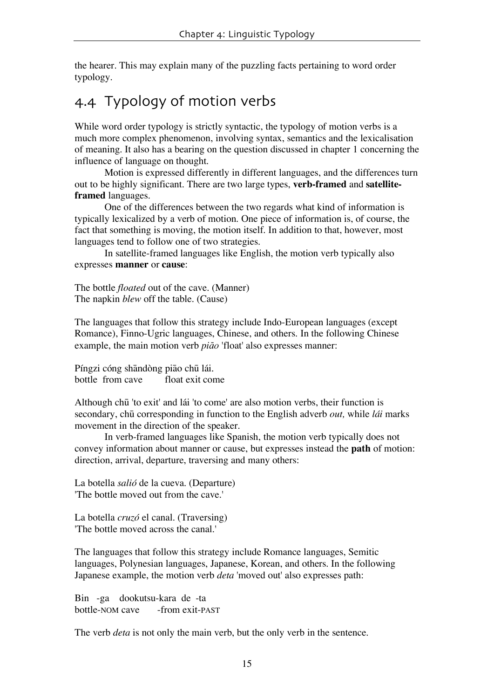the hearer. This may explain many of the puzzling facts pertaining to word order typology.

# 4.4 Typology of motion verbs

While word order typology is strictly syntactic, the typology of motion verbs is a much more complex phenomenon, involving syntax, semantics and the lexicalisation of meaning. It also has a bearing on the question discussed in chapter 1 concerning the influence of language on thought.

Motion is expressed differently in different languages, and the differences turn out to be highly significant. There are two large types, **verb-framed** and **satelliteframed** languages.

One of the differences between the two regards what kind of information is typically lexicalized by a verb of motion. One piece of information is, of course, the fact that something is moving, the motion itself. In addition to that, however, most languages tend to follow one of two strategies.

In satellite-framed languages like English, the motion verb typically also expresses **manner** or **cause**:

The bottle *floated* out of the cave. (Manner) The napkin *blew* off the table. (Cause)

The languages that follow this strategy include Indo-European languages (except Romance), Finno-Ugric languages, Chinese, and others. In the following Chinese example, the main motion verb *piao* 'float' also expresses manner:

Píngzi cóng shāndòng piao chū lái. bottle from cave float exit come

Although chu<sup>1</sup> 'to exit' and lat 'to come' are also motion verbs, their function is secondary, chū corresponding in function to the English adverb *out*, while *lái* marks movement in the direction of the speaker.

In verb-framed languages like Spanish, the motion verb typically does not convey information about manner or cause, but expresses instead the **path** of motion: direction, arrival, departure, traversing and many others:

La botella *salió* de la cueva. (Departure) 'The bottle moved out from the cave.'

La botella *cruzó* el canal. (Traversing) 'The bottle moved across the canal.'

The languages that follow this strategy include Romance languages, Semitic languages, Polynesian languages, Japanese, Korean, and others. In the following Japanese example, the motion verb *deta* 'moved out' also expresses path:

Bin -ga dookutsu-kara de -ta bottle-NOM cave -from exit-PAST

The verb *deta* is not only the main verb, but the only verb in the sentence.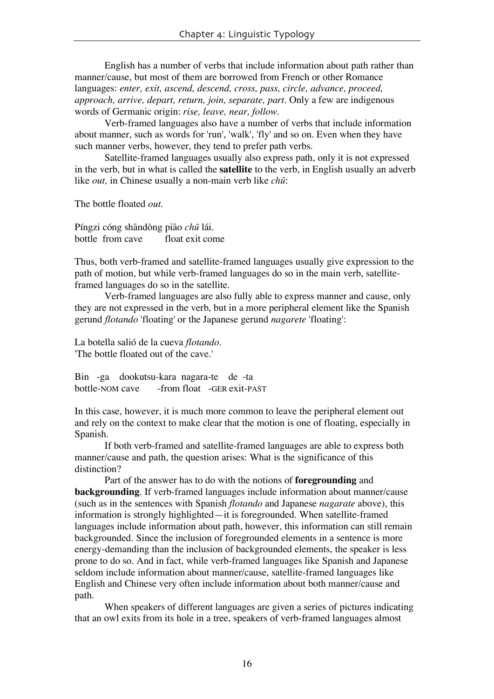English has a number of verbs that include information about path rather than manner/cause, but most of them are borrowed from French or other Romance languages: *enter, exit, ascend, descend, cross, pass, circle, advance, proceed, approach, arrive, depart, return, join, separate, part.* Only a few are indigenous words of Germanic origin: *rise, leave, near, follow.*

Verb-framed languages also have a number of verbs that include information about manner, such as words for 'run', 'walk', 'fly' and so on. Even when they have such manner verbs, however, they tend to prefer path verbs.

Satellite-framed languages usually also express path, only it is not expressed in the verb, but in what is called the **satellite** to the verb, in English usually an adverb like *out*, in Chinese usually a non-main verb like *chu*:

The bottle floated *out.*

Píngzi cóng shāndòng piao *chū* lái. bottle from cave float exit come

Thus, both verb-framed and satellite-framed languages usually give expression to the path of motion, but while verb-framed languages do so in the main verb, satelliteframed languages do so in the satellite.

Verb-framed languages are also fully able to express manner and cause, only they are not expressed in the verb, but in a more peripheral element like the Spanish gerund *flotando* 'floating' or the Japanese gerund *nagarete* 'floating':

La botella salió de la cueva *flotando*. 'The bottle floated out of the cave.'

Bin -ga dookutsu-kara nagara-te de -ta bottle-NOM cave -from float -GER exit-PAST

In this case, however, it is much more common to leave the peripheral element out and rely on the context to make clear that the motion is one of floating, especially in Spanish.

If both verb-framed and satellite-framed languages are able to express both manner/cause and path, the question arises: What is the significance of this distinction?

Part of the answer has to do with the notions of **foregrounding** and **backgrounding**. If verb-framed languages include information about manner/cause (such as in the sentences with Spanish *flotando* and Japanese *nagarate* above), this information is strongly highlighted—it is foregrounded. When satellite-framed languages include information about path, however, this information can still remain backgrounded. Since the inclusion of foregrounded elements in a sentence is more energy-demanding than the inclusion of backgrounded elements, the speaker is less prone to do so. And in fact, while verb-framed languages like Spanish and Japanese seldom include information about manner/cause, satellite-framed languages like English and Chinese very often include information about both manner/cause and path.

When speakers of different languages are given a series of pictures indicating that an owl exits from its hole in a tree, speakers of verb-framed languages almost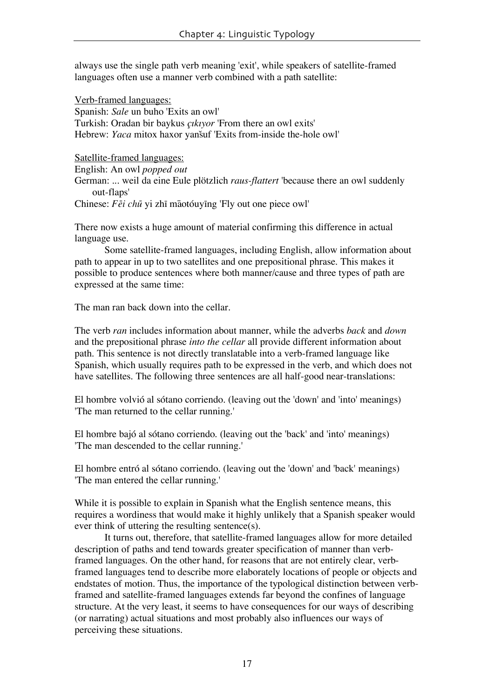always use the single path verb meaning 'exit', while speakers of satellite-framed languages often use a manner verb combined with a path satellite:

Verb-framed languages: Spanish: *Sale* un buho 'Exits an owl' Turkish: Oradan bir baykus *çıkıyor* 'From there an owl exits' Hebrew: *Yaca* mitox haxor yanšuf 'Exits from-inside the-hole owl'

Satellite-framed languages:

English: An owl *popped out*

German: ... weil da eine Eule plötzlich *raus-flattert* 'because there an owl suddenly out-flaps'

Chinese: *Fēi chū* yi zhī māotóuyīng 'Fly out one piece owl'

There now exists a huge amount of material confirming this difference in actual language use.

Some satellite-framed languages, including English, allow information about path to appear in up to two satellites and one prepositional phrase. This makes it possible to produce sentences where both manner/cause and three types of path are expressed at the same time:

The man ran back down into the cellar.

The verb *ran* includes information about manner, while the adverbs *back* and *down* and the prepositional phrase *into the cellar* all provide different information about path. This sentence is not directly translatable into a verb-framed language like Spanish, which usually requires path to be expressed in the verb, and which does not have satellites. The following three sentences are all half-good near-translations:

El hombre volvió al sótano corriendo. (leaving out the 'down' and 'into' meanings) 'The man returned to the cellar running.'

El hombre bajó al sótano corriendo. (leaving out the 'back' and 'into' meanings) 'The man descended to the cellar running.'

El hombre entró al sótano corriendo. (leaving out the 'down' and 'back' meanings) 'The man entered the cellar running.'

While it is possible to explain in Spanish what the English sentence means, this requires a wordiness that would make it highly unlikely that a Spanish speaker would ever think of uttering the resulting sentence(s).

It turns out, therefore, that satellite-framed languages allow for more detailed description of paths and tend towards greater specification of manner than verbframed languages. On the other hand, for reasons that are not entirely clear, verbframed languages tend to describe more elaborately locations of people or objects and endstates of motion. Thus, the importance of the typological distinction between verbframed and satellite-framed languages extends far beyond the confines of language structure. At the very least, it seems to have consequences for our ways of describing (or narrating) actual situations and most probably also influences our ways of perceiving these situations.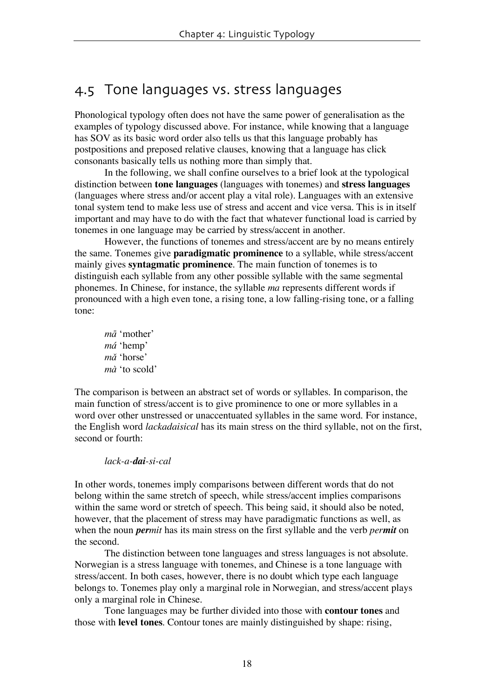# 4.5 Tone languages vs. stress languages

Phonological typology often does not have the same power of generalisation as the examples of typology discussed above. For instance, while knowing that a language has SOV as its basic word order also tells us that this language probably has postpositions and preposed relative clauses, knowing that a language has click consonants basically tells us nothing more than simply that.

In the following, we shall confine ourselves to a brief look at the typological distinction between **tone languages** (languages with tonemes) and **stress languages** (languages where stress and/or accent play a vital role). Languages with an extensive tonal system tend to make less use of stress and accent and vice versa. This is in itself important and may have to do with the fact that whatever functional load is carried by tonemes in one language may be carried by stress/accent in another.

However, the functions of tonemes and stress/accent are by no means entirely the same. Tonemes give **paradigmatic prominence** to a syllable, while stress/accent mainly gives **syntagmatic prominence**. The main function of tonemes is to distinguish each syllable from any other possible syllable with the same segmental phonemes. In Chinese, for instance, the syllable *ma* represents different words if pronounced with a high even tone, a rising tone, a low falling-rising tone, or a falling tone:

 $m\bar{a}$  'mother' má 'hemp' mă 'horse' *mà* 'to scold'

The comparison is between an abstract set of words or syllables. In comparison, the main function of stress/accent is to give prominence to one or more syllables in a word over other unstressed or unaccentuated syllables in the same word. For instance, the English word *lackadaisical* has its main stress on the third syllable, not on the first, second or fourth:

#### *lack-a-dai-si-cal*

In other words, tonemes imply comparisons between different words that do not belong within the same stretch of speech, while stress/accent implies comparisons within the same word or stretch of speech. This being said, it should also be noted, however, that the placement of stress may have paradigmatic functions as well, as when the noun *permit* has its main stress on the first syllable and the verb *permit* on the second.

The distinction between tone languages and stress languages is not absolute. Norwegian is a stress language with tonemes, and Chinese is a tone language with stress/accent. In both cases, however, there is no doubt which type each language belongs to. Tonemes play only a marginal role in Norwegian, and stress/accent plays only a marginal role in Chinese.

Tone languages may be further divided into those with **contour tones** and those with **level tones**. Contour tones are mainly distinguished by shape: rising,